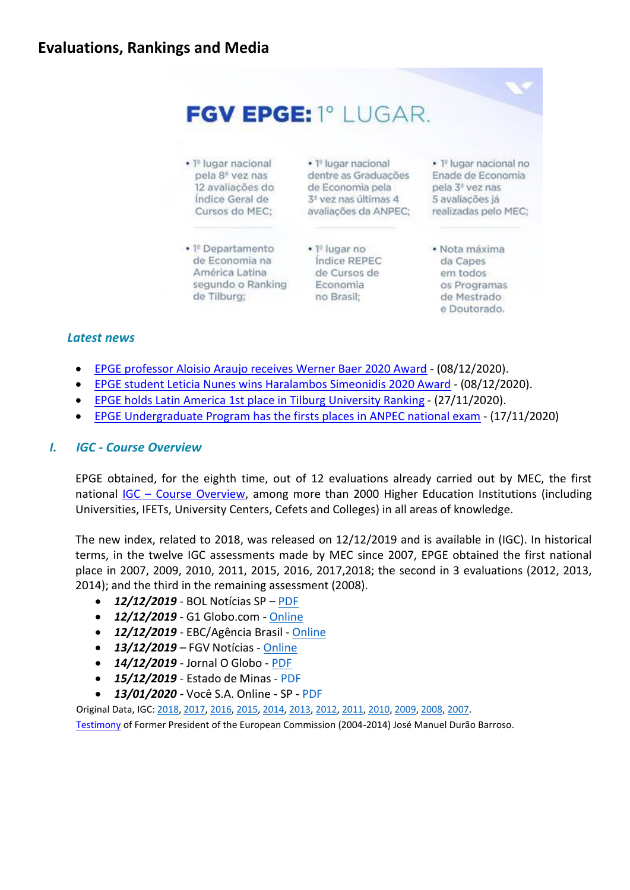

## *Latest news*

- [EPGE professor Aloisio Araujo receives Werner Baer 2020 Award](#page-7-0) (08/12/2020).
- [EPGE student Leticia Nunes wins Haralambos Simeonidis 2020 Award](#page-7-1) (08/12/2020).
- [EPGE holds Latin America 1st place in Tilburg University Ranking](#page-1-0) (27/11/2020).
- [EPGE Undergraduate Program has the firsts places in ANPEC national exam](#page-5-0) (17/11/2020)

#### *I. IGC - Course Overview*

EPGE obtained, for the eighth time, out of 12 evaluations already carried out by MEC, the first national IGC – [Course Overview,](http://portal.inep.gov.br/web/guest/indice-geral-de-cursos-igc-) among more than 2000 Higher Education Institutions (including Universities, IFETs, University Centers, Cefets and Colleges) in all areas of knowledge.

The new index, related to 2018, was released on 12/12/2019 and is available in (IGC). In historical terms, in the twelve IGC assessments made by MEC since 2007, EPGE obtained the first national place in 2007, 2009, 2010, 2011, 2015, 2016, 2017,2018; the second in 3 evaluations (2012, 2013, 2014); and the third in the remaining assessment (2008).

- *12/12/2019* BOL Notícias SP [PDF](https://epge.fgv.br/files/default/as-universidades-com-melhor-desempenho-em-indicador-de-qualidade-do-mec.pdf)
- *12/12/2019* G1 Globo.com [Online](https://g1.globo.com/educacao/noticia/2019/12/12/confira-a-lista-de-instituicoes-de-ensino-superior-com-nota-maxima-em-avaliacao-do-mec.ghtml)
- *12/12/2019*  EBC/Agência Brasil [Online](https://agenciabrasil.ebc.com.br/educacao/noticia/2019-12/inep-13-das-instituicoes-avaliadas-em-2018-tiveram-baixo-desempenho)
- *13/12/2019*  FGV Notícias [Online](https://portal.fgv.br/noticias/igc-2018-escolas-obtem-nota-maxima-e-fgv-mantem-lideranca-ranking-nacional-cursos-mec?utm_source=news-fgvnoticias&utm_medium=emailmkt&utm_campaign=fgvnoticias-2019-12-13)
- **14/12/2019** Jornal O Globo [PDF](https://epge.fgv.br/files/default/2019-12-14-o-globo.pdf)
- *15/12/2019* Estado de Minas [PDF](https://epge.fgv.br/files/default/fundacao-getulio-vargas-e-a-melhor-do-brasil.pdf)
- *13/01/2020*  Você S.A. Online SP [PDF](https://epge.fgv.br/files/default/as-melhores-faculdades-e-universidades-do-brasil-segundo-o-mec.pdf)

Original Data, IGC: [2018,](http://download.inep.gov.br/educacao_superior/igc_cpc/2018/portal_IGC_edicao2018.xlsx) [2017,](http://download.inep.gov.br/educacao_superior/igc_cpc/2016/resultado_igc_2016_11042018.xlsx) [2016,](http://download.inep.gov.br/educacao_superior/igc_cpc/2016/resultado_igc_2016_11042018.xlsx) [2015,](http://download.inep.gov.br/educacao_superior/indicadores/legislacao/2017/igc_2015_portal_04_12_2017.xlsx) [2014,](http://download.inep.gov.br/educacao_superior/enade/igc/2014/igc_2014.xlsx) [2013,](http://download.inep.gov.br/educacao_superior/enade/igc/2013/igc_2013_09022015.xlsx) [2012,](http://download.inep.gov.br/educacao_superior/enade/igc/tabela_igc_2012_30012014.xls) [2011,](http://download.inep.gov.br/educacao_superior/enade/igc/tabela_igc_2011_15_01_2013.xls) [2010,](http://download.inep.gov.br/educacao_superior/enade/igc/tabela_igc_2010_16_10_2012.xls) [2009,](http://download.inep.gov.br/download/areaigc/Downloads/igc_2009.xls) [2008,](http://download.inep.gov.br/download/areaigc/Downloads/igc_2008_03_04_2018.xlsx) [2007.](http://download.inep.gov.br/download/areaigc/Downloads/igc_2007_03_04_2018.xlsx)

[Testimony](https://www.youtube.com/watch?v=v_ExCDao38g) of Former President of the European Commission (2004-2014) José Manuel Durão Barroso.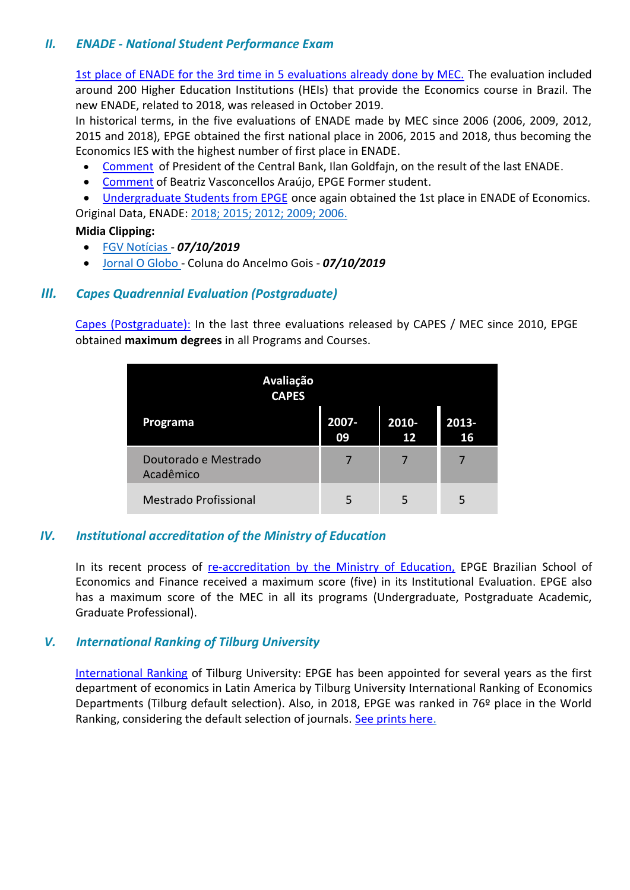## *II. ENADE - National Student Performance Exam*

[1st place of ENADE for the 3rd time in 5 evaluations already done by MEC.](http://portal.inep.gov.br/conceito-enade) The evaluation included around 200 Higher Education Institutions (HEIs) that provide the Economics course in Brazil. The new ENADE, related to 2018, was released in October 2019.

In historical terms, in the five evaluations of ENADE made by MEC since 2006 (2006, 2009, 2012, 2015 and 2018), EPGE obtained the first national place in 2006, 2015 and 2018, thus becoming the Economics IES with the highest number of first place in ENADE.

- [Comment](https://www.youtube.com/watch?v=xaf-h7v62DM&list=PLspVbtJ_9_HrQWQeQKb-lqLEmNbCMIPDY) of President of the Central Bank, Ilan Goldfajn, on the result of the last ENADE.
- [Comment](https://www.youtube.com/watch?v=y6ym423nS_I) of Beatriz Vasconcellos Araújo, EPGE Former student.

• [Undergraduate Students from](https://epge.fgv.br/en/news/epge-ranks-once-more-as-first-in-brazil-in-the-last-enade-exam) EPGE once again obtained the 1st place in ENADE of Economics. Original Data, ENADE: [2018;](http://download.inep.gov.br/educacao_superior/indicadores/legislacao/2019/resultados_conceito_enade_2018.xlsx) [2015;](http://download.inep.gov.br/educacao_superior/indicadores/legislacao/2017/conceito_enade_2015_08032017.xlsx) [2012;](http://download.inep.gov.br/educacao_superior/enade/planilhas/2012/conceito_enade_2012.xlsx) [2009;](http://download.inep.gov.br/download/enade/2009/cpc_decomposto_2009.xls) [2006.](https://epge.fgv.br/files/default/conceito_enade_2006_29_03_2018.xls)

#### **Midia Clipping:**

- FGV [Notícias -](https://portal.fgv.br/noticias/conceito-maximo-enade-cursos-graduacao-fgv-estao-entre-melhores-brasil?utm_source=news-fgvnoticias&utm_medium=emailmkt&utm_campaign=fgvnoticias-2019-10-07) *07/10/2019*
- Jornal O [Globo -](https://epge.fgv.br/files/default/2019-10-07-o-globo-nota.pdf) Coluna do Ancelmo Gois *07/10/2019*

## *III. Capes Quadrennial Evaluation (Postgraduate)*

[Capes \(Postgraduate\):](http://www.capes.gov.br/avaliacao) In the last three evaluations released by CAPES / MEC since 2010, EPGE obtained **maximum degrees** in all Programs and Courses.

| Avaliação<br><b>CAPES</b>         |             |             |             |  |
|-----------------------------------|-------------|-------------|-------------|--|
| Programa                          | 2007-<br>09 | 2010-<br>12 | 2013-<br>16 |  |
| Doutorado e Mestrado<br>Acadêmico |             |             |             |  |
| <b>Mestrado Profissional</b>      | 5           | 5           | 5           |  |

## *IV. Institutional accreditation of the Ministry of Education*

In its recent process of [re-accreditation by the Ministry of Education,](http://portal.mec.gov.br/observatorio-da-educacao/323-secretarias-112877938/orgaos-vinculados-82187207/12809-credenciamento-recredenciamento) EPGE Brazilian School of Economics and Finance received a maximum score (five) in its Institutional Evaluation. EPGE also has a maximum score of the MEC in all its programs (Undergraduate, Postgraduate Academic, Graduate Professional).

## <span id="page-1-0"></span>*V. International Ranking of Tilburg University*

[International Ranking](http://econtop.uvt.nl/rankingsandbox.php) of Tilburg University: EPGE has been appointed for several years as the first department of economics in Latin America by Tilburg University International Ranking of Economics Departments (Tilburg default selection). Also, in 2018, EPGE was ranked in 76º place in the World Ranking, considering the default selection of journals. [See prints here.](https://epge.fgv.br/files/default/ranking-internacional-da-universidade-de-tilburg-23-11-2020-v3.pdf)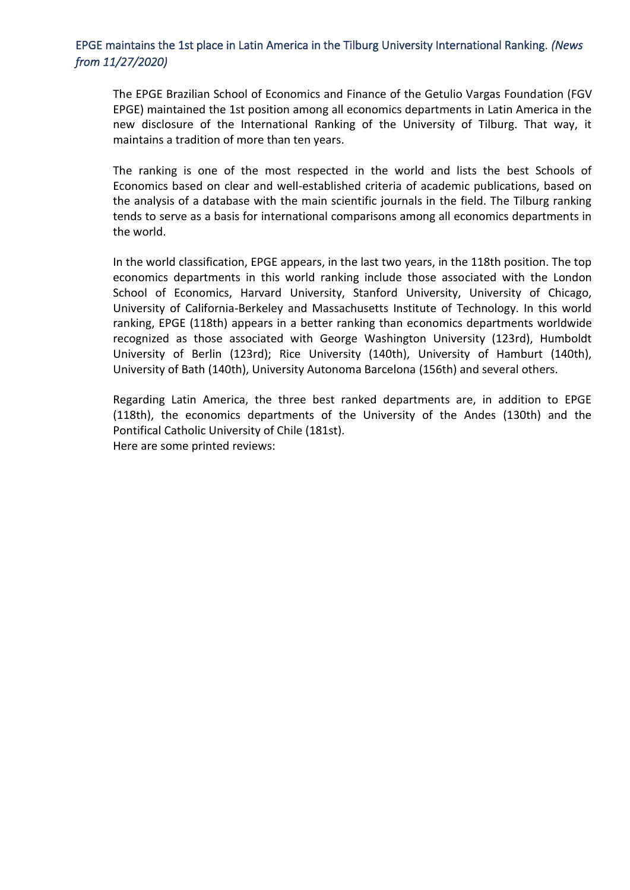## EPGE maintains the 1st place in Latin America in the Tilburg University International Ranking. *(News from 11/27/2020)*

The EPGE Brazilian School of Economics and Finance of the Getulio Vargas Foundation (FGV EPGE) maintained the 1st position among all economics departments in Latin America in the new disclosure of the International Ranking of the University of Tilburg. That way, it maintains a tradition of more than ten years.

The ranking is one of the most respected in the world and lists the best Schools of Economics based on clear and well-established criteria of academic publications, based on the analysis of a database with the main scientific journals in the field. The Tilburg ranking tends to serve as a basis for international comparisons among all economics departments in the world.

In the world classification, EPGE appears, in the last two years, in the 118th position. The top economics departments in this world ranking include those associated with the London School of Economics, Harvard University, Stanford University, University of Chicago, University of California-Berkeley and Massachusetts Institute of Technology. In this world ranking, EPGE (118th) appears in a better ranking than economics departments worldwide recognized as those associated with George Washington University (123rd), Humboldt University of Berlin (123rd); Rice University (140th), University of Hamburt (140th), University of Bath (140th), University Autonoma Barcelona (156th) and several others.

Regarding Latin America, the three best ranked departments are, in addition to EPGE (118th), the economics departments of the University of the Andes (130th) and the Pontifical Catholic University of Chile (181st). Here are some printed reviews: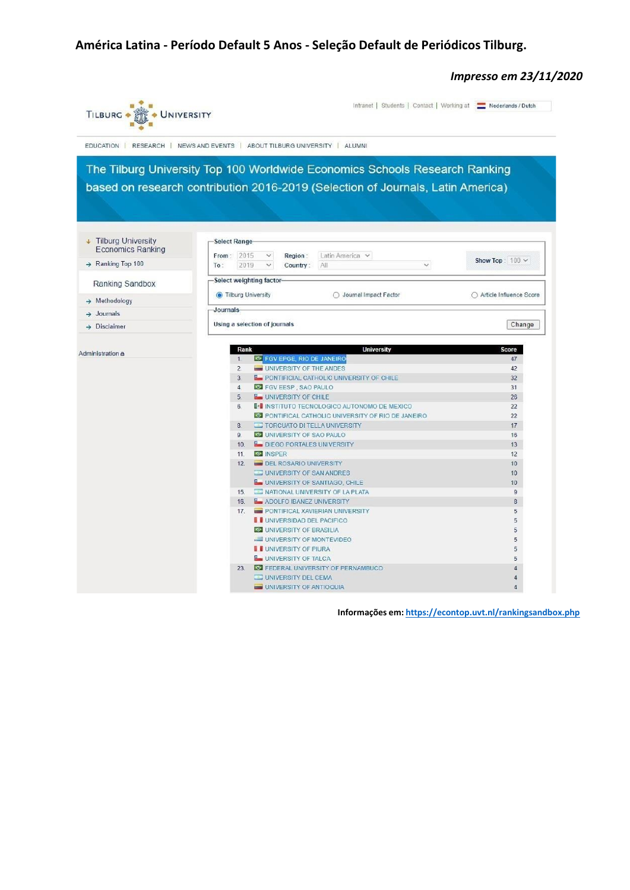# **América Latina - Período Default 5 Anos - Seleção Default de Periódicos Tilburg.**

*Impresso em 23/11/2020*

| TILBURG +<br>UNIVERSITY                                            |                                                                                 | Intranet   Students   Contact   Working at   Nederlands / Dutch |  |  |  |  |  |  |
|--------------------------------------------------------------------|---------------------------------------------------------------------------------|-----------------------------------------------------------------|--|--|--|--|--|--|
| EDUCATION RESEARCH NEWS AND EVENTS ABOUT TILBURG UNIVERSITY ALUMNI |                                                                                 |                                                                 |  |  |  |  |  |  |
|                                                                    | The Tilburg University Top 100 Worldwide Economics Schools Research Ranking     |                                                                 |  |  |  |  |  |  |
|                                                                    | based on research contribution 2016-2019 (Selection of Journals, Latin America) |                                                                 |  |  |  |  |  |  |
|                                                                    |                                                                                 |                                                                 |  |  |  |  |  |  |
|                                                                    |                                                                                 |                                                                 |  |  |  |  |  |  |
|                                                                    |                                                                                 |                                                                 |  |  |  |  |  |  |
|                                                                    |                                                                                 |                                                                 |  |  |  |  |  |  |
| <b>J</b> Tilburg University                                        | Select Range-                                                                   |                                                                 |  |  |  |  |  |  |
| <b>Economics Ranking</b>                                           |                                                                                 |                                                                 |  |  |  |  |  |  |
| $\rightarrow$ Ranking Top 100                                      | From: 2015<br>$\checkmark$<br>Latin America v<br>Region:                        | Show Top: $100 \vee$                                            |  |  |  |  |  |  |
|                                                                    | 2019<br>All<br>To:<br>$\checkmark$<br>Country:                                  | $\checkmark$                                                    |  |  |  |  |  |  |
| Ranking Sandbox                                                    | Select weighting factor                                                         |                                                                 |  |  |  |  |  |  |
|                                                                    | <b>Tilburg University</b><br>◯ Journal Impact Factor                            | ○ Article Influence Score                                       |  |  |  |  |  |  |
| $\rightarrow$ Methodology                                          |                                                                                 |                                                                 |  |  |  |  |  |  |
| Journals                                                           | Journals                                                                        |                                                                 |  |  |  |  |  |  |
| Disclaimer                                                         | Using a selection of journals                                                   | Change                                                          |  |  |  |  |  |  |
|                                                                    |                                                                                 |                                                                 |  |  |  |  |  |  |
|                                                                    |                                                                                 |                                                                 |  |  |  |  |  |  |
| Administration &                                                   | <b>University</b><br>Rank<br>E FGV EPGE, RIO DE JANEIRO<br>1.                   | <b>Score</b><br>47                                              |  |  |  |  |  |  |
|                                                                    | $\overline{2}$<br>UNIVERSITY OF THE ANDES                                       | 42                                                              |  |  |  |  |  |  |
|                                                                    | 3.<br><b>E</b> PONTIFICIAL CATHOLIC UNIVERSITY OF CHILE                         | 32                                                              |  |  |  |  |  |  |
|                                                                    | 4 <sup>1</sup><br>FGV EESP, SAO PAULO                                           | 31                                                              |  |  |  |  |  |  |
|                                                                    | <b>L</b> UNIVERSITY OF CHILE<br>5.                                              | 26                                                              |  |  |  |  |  |  |
|                                                                    | <b>I</b> <sup>1</sup> INSTITUTO TECNOLOGICO AUTONOMO DE MEXICO<br>6.            | 22                                                              |  |  |  |  |  |  |
|                                                                    | O PONTIFICAL CATHOLIC UNIVERSITY OF RIO DE JANEIRO                              | 22                                                              |  |  |  |  |  |  |
|                                                                    | TORCUATO DI TELLA UNIVERSITY<br>8.                                              | 17                                                              |  |  |  |  |  |  |
|                                                                    | 9.<br>UNIVERSITY OF SAO PAULO                                                   | 16                                                              |  |  |  |  |  |  |
|                                                                    | 10.<br><b>L</b> DIEGO PORTALES UNIVERSITY                                       | 13                                                              |  |  |  |  |  |  |
|                                                                    | 11.<br><b>O</b> INSPER                                                          | 12                                                              |  |  |  |  |  |  |
|                                                                    | <b>DEL ROSARIO UNIVERSITY</b><br>12.                                            | 10                                                              |  |  |  |  |  |  |
|                                                                    | UNIVERSITY OF SAN ANDRES                                                        | 10                                                              |  |  |  |  |  |  |
|                                                                    | <b>L</b> UNIVERSITY OF SANTIAGO, CHILE                                          | 10                                                              |  |  |  |  |  |  |
|                                                                    | NATIONAL UNIVERSITY OF LA PLATA<br>15.<br>ADOLFO IBANEZ UNIVERSITY<br>16.       | $\overline{9}$<br>8                                             |  |  |  |  |  |  |
|                                                                    | PONTIFICAL XAVIERIAN UNIVERSITY<br>17.                                          | 5                                                               |  |  |  |  |  |  |
|                                                                    | <b>I</b> UNIVERSIDAD DEL PACIFICO                                               | 5                                                               |  |  |  |  |  |  |
|                                                                    | UNIVERSITY OF BRASILIA                                                          | 5                                                               |  |  |  |  |  |  |
|                                                                    | UNIVERSITY OF MONTEVIDEO                                                        | 5                                                               |  |  |  |  |  |  |
|                                                                    | I UNIVERSITY OF PIURA                                                           | 5                                                               |  |  |  |  |  |  |
|                                                                    | UNIVERSITY OF TALCA                                                             | 5                                                               |  |  |  |  |  |  |
|                                                                    | FEDERAL UNIVERSITY OF PERNAMBUCO<br>23                                          | 4                                                               |  |  |  |  |  |  |
|                                                                    |                                                                                 |                                                                 |  |  |  |  |  |  |
|                                                                    | UNIVERSITY DEL CEMA                                                             | 4                                                               |  |  |  |  |  |  |

**Informações em: <https://econtop.uvt.nl/rankingsandbox.php>**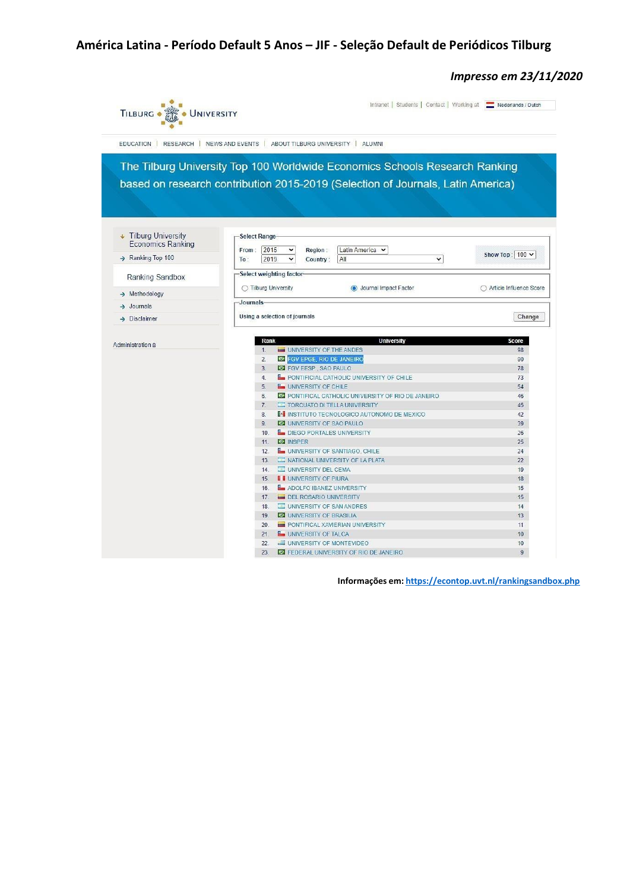# **América Latina - Período Default 5 Anos – JIF - Seleção Default de Periódicos Tilburg**

*Impresso em 23/11/2020*

| TILBURG .<br>UNIVERSITY                                                     | Intranet   Students   Contact   Working at   Nederlands / Dutch                 |                           |  |  |  |  |  |
|-----------------------------------------------------------------------------|---------------------------------------------------------------------------------|---------------------------|--|--|--|--|--|
| EDUCATION   RESEARCH<br>NEWS AND EVENTS   ABOUT TILBURG UNIVERSITY   ALUMNI |                                                                                 |                           |  |  |  |  |  |
|                                                                             | The Tilburg University Top 100 Worldwide Economics Schools Research Ranking     |                           |  |  |  |  |  |
|                                                                             |                                                                                 |                           |  |  |  |  |  |
|                                                                             | based on research contribution 2015-2019 (Selection of Journals, Latin America) |                           |  |  |  |  |  |
|                                                                             |                                                                                 |                           |  |  |  |  |  |
|                                                                             |                                                                                 |                           |  |  |  |  |  |
|                                                                             |                                                                                 |                           |  |  |  |  |  |
| $\downarrow$ Tilburg University                                             | Select Range                                                                    |                           |  |  |  |  |  |
| <b>Economics Ranking</b>                                                    |                                                                                 |                           |  |  |  |  |  |
|                                                                             | Latin America v<br>2015<br>Region:<br>From:<br>v                                | Show Top: $100 \vee$      |  |  |  |  |  |
| $\rightarrow$ Ranking Top 100                                               | 2019<br>All<br>$\checkmark$<br>To:<br>v<br>Country:                             |                           |  |  |  |  |  |
| Ranking Sandbox                                                             | Select weighting factor-                                                        |                           |  |  |  |  |  |
|                                                                             | ◯ Tilburg University<br><b>O</b> Journal Impact Factor                          | ○ Article Influence Score |  |  |  |  |  |
| $\rightarrow$ Methodology                                                   |                                                                                 |                           |  |  |  |  |  |
| $\rightarrow$ Journals                                                      | Journals                                                                        |                           |  |  |  |  |  |
| $\rightarrow$ Disclaimer                                                    | Using a selection of journals                                                   | Change                    |  |  |  |  |  |
|                                                                             |                                                                                 |                           |  |  |  |  |  |
|                                                                             | <b>University</b><br>Rank                                                       | <b>Score</b>              |  |  |  |  |  |
| Administration &                                                            | UNIVERSITY OF THE ANDES<br>1.                                                   | 98                        |  |  |  |  |  |
|                                                                             | <b>S FGV EPGE, RIO DE JANEIRO</b><br>2.                                         | 90                        |  |  |  |  |  |
|                                                                             | 3.<br>FGV EESP, SAO PAULO                                                       | 78                        |  |  |  |  |  |
|                                                                             | 4.<br><b>E</b> PONTIFICIAL CATHOLIC UNIVERSITY OF CHILE                         | 73                        |  |  |  |  |  |
|                                                                             | <b>L</b> UNIVERSITY OF CHILE<br>5.                                              | 54                        |  |  |  |  |  |
|                                                                             | PONTIFICAL CATHOLIC UNIVERSITY OF RIO DE JANEIRO<br>6.                          | 46                        |  |  |  |  |  |
|                                                                             | TORCUATO DI TELLA UNIVERSITY<br>7.                                              | 45                        |  |  |  |  |  |
|                                                                             | 8.<br><b>I</b> <sup>2</sup> INSTITUTO TECNOLOGICO AUTONOMO DE MEXICO            | 42                        |  |  |  |  |  |
|                                                                             | 9.<br>UNIVERSITY OF SAO PAULO                                                   | 39                        |  |  |  |  |  |
|                                                                             | 10.<br><b>Le DIEGO PORTALES UNIVERSITY</b>                                      | 26                        |  |  |  |  |  |
|                                                                             | O INSPER<br>11.                                                                 | 25                        |  |  |  |  |  |
|                                                                             | UNIVERSITY OF SANTIAGO, CHILE<br>12.                                            | 24                        |  |  |  |  |  |
|                                                                             | NATIONAL UNIVERSITY OF LA PLATA<br>13.                                          | 22                        |  |  |  |  |  |
|                                                                             | UNIVERSITY DEL CEMA<br>14.                                                      | 19                        |  |  |  |  |  |
|                                                                             | <b>I</b> UNIVERSITY OF PIURA<br>15.                                             | 18                        |  |  |  |  |  |
|                                                                             | 16.<br>ADOLFO IBANEZ UNIVERSITY                                                 | 15                        |  |  |  |  |  |
|                                                                             | DEL ROSARIO UNIVERSITY<br>17.                                                   | 15                        |  |  |  |  |  |
|                                                                             | UNIVERSITY OF SAN ANDRES<br>18.                                                 | 14                        |  |  |  |  |  |
|                                                                             | 19.<br>UNIVERSITY OF BRASILIA                                                   | 13                        |  |  |  |  |  |
|                                                                             | PONTIFICAL XAVIERIAN UNIVERSITY<br>20.                                          | 11                        |  |  |  |  |  |
|                                                                             | <b>L</b> UNIVERSITY OF TALCA<br>21.                                             | 10                        |  |  |  |  |  |
|                                                                             | 22.<br>UNIVERSITY OF MONTEVIDEO                                                 | 10                        |  |  |  |  |  |
|                                                                             | EDERAL UNIVERSITY OF RIO DE JANEIRO<br>23.                                      | $\overline{9}$            |  |  |  |  |  |

**Informações em: <https://econtop.uvt.nl/rankingsandbox.php>**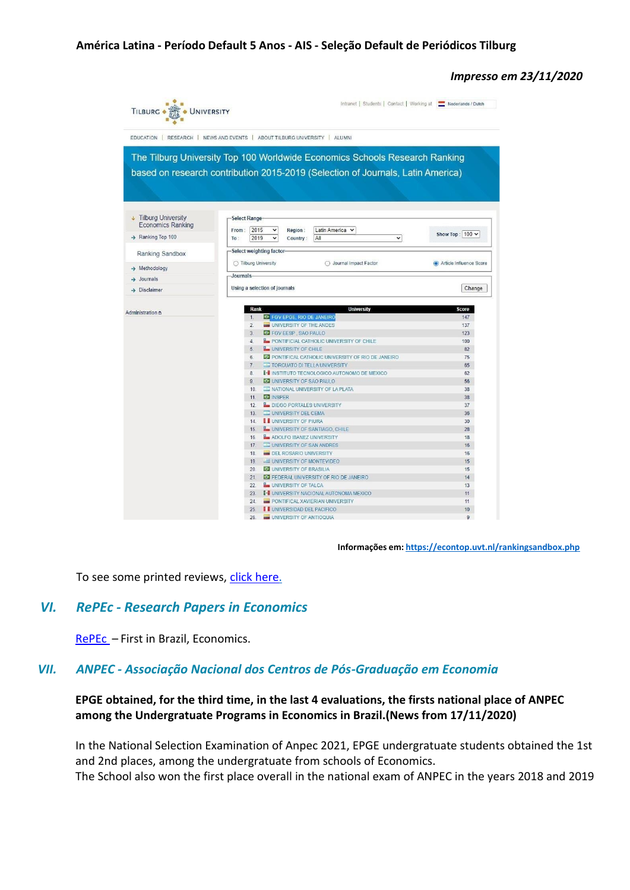#### *Impresso em 23/11/2020*

|                             |              |                                                                     |                                    | EDUCATION   RESEARCH   NEWS AND EVENTS   ABOUT TILBURG UNIVERSITY   ALUMNI         |                         |
|-----------------------------|--------------|---------------------------------------------------------------------|------------------------------------|------------------------------------------------------------------------------------|-------------------------|
|                             |              |                                                                     |                                    | The Tilburg University Top 100 Worldwide Economics Schools Research Ranking        |                         |
|                             |              |                                                                     |                                    | based on research contribution 2015-2019 (Selection of Journals, Latin America)    |                         |
|                             |              |                                                                     |                                    |                                                                                    |                         |
|                             |              |                                                                     |                                    |                                                                                    |                         |
|                             |              |                                                                     |                                    |                                                                                    |                         |
|                             |              |                                                                     |                                    |                                                                                    |                         |
| <b>J</b> Tilburg University | Select Range |                                                                     |                                    |                                                                                    |                         |
| <b>Economics Ranking</b>    | From:        | 2015<br>$\check{ }$                                                 | Region:                            | Latin America v                                                                    |                         |
| > Ranking Top 100           | To:          | 2019<br>v                                                           | Country:                           | All<br>v                                                                           | Show Top: 100 v         |
|                             |              |                                                                     |                                    |                                                                                    |                         |
| Ranking Sandbox             |              | Select weighting factor-                                            |                                    |                                                                                    |                         |
|                             |              | ◯ Tilburg University                                                |                                    | ◯ Journal Impact Factor                                                            | Article Influence Score |
| $\rightarrow$ Methodology   | Journals-    |                                                                     |                                    |                                                                                    |                         |
| Journals                    |              |                                                                     |                                    |                                                                                    |                         |
| $\rightarrow$ Disclaimer    |              | Using a selection of journals                                       |                                    | Change                                                                             |                         |
|                             |              |                                                                     |                                    |                                                                                    |                         |
| Administration &            |              | Rank                                                                |                                    | <b>University</b>                                                                  | <b>Score</b>            |
|                             |              | 1 <sub>1</sub>                                                      | FOV EPGE, RIO DE JANEIRO           |                                                                                    | 147                     |
|                             |              | $\overline{2}$                                                      | UNIVERSITY OF THE ANDES            |                                                                                    | 137                     |
|                             |              | 3.                                                                  | FGV EESP SAO PAULO                 |                                                                                    | 123                     |
|                             |              | <b>E</b> PONTIFICIAL CATHOLIC UNIVERSITY OF CHILE<br>4 <sup>1</sup> |                                    |                                                                                    | 100                     |
|                             |              | 5.                                                                  | <b>L</b> UNIVERSITY OF CHILE       |                                                                                    | 82                      |
|                             |              | 6.<br>7.                                                            |                                    | O PONTIFICAL CATHOLIC UNIVERSITY OF RIO DE JANEIRO<br>TORCUATO DI TELLA UNIVERSITY | 75<br>65                |
|                             |              | 8.                                                                  |                                    | <b>I</b> <sup>1</sup> INSTITUTO TECNOLOGICO AUTONOMO DE MEXICO                     | 62                      |
|                             |              | 9.                                                                  | UNIVERSITY OF SAO PAULO            |                                                                                    | 56                      |
|                             |              | 10.                                                                 |                                    | NATIONAL UNIVERSITY OF LA PLATA                                                    | 38                      |
|                             |              | <b>O</b> INSPER<br>11                                               |                                    |                                                                                    | 38                      |
|                             |              | 12.                                                                 |                                    | <b>L</b> DIEGO PORTALES UNIVERSITY                                                 | 37                      |
|                             |              | 13.                                                                 | UNIVERSITY DEL CEMA                |                                                                                    | 36                      |
|                             |              | 14.                                                                 | <b>I</b> UNIVERSITY OF PIURA       |                                                                                    | 30                      |
|                             |              | <b>Le UNIVERSITY OF SANTIAGO, CHILE</b><br>15.                      |                                    |                                                                                    | 28                      |
|                             |              | 16.                                                                 |                                    | ADOLFO IBANEZ UNIVERSITY                                                           | 18                      |
|                             |              | 17.                                                                 |                                    | UNIVERSITY OF SAN ANDRES                                                           | 16                      |
|                             |              | 18.                                                                 | DEL ROSARIO UNIVERSITY             |                                                                                    | 16                      |
|                             |              | 19.                                                                 |                                    | UNIVERSITY OF MONTEVIDEO                                                           | 15                      |
|                             |              | 20.                                                                 | <b>BO</b> UNIVERSITY OF BRASILIA   |                                                                                    | 15                      |
|                             |              | 21.<br>22.                                                          | <b>LUNIVERSITY OF TALCA</b>        | FEDERAL UNIVERSITY OF RIO DE JANEIRO                                               | 14<br>13                |
|                             |              | 23.                                                                 |                                    | <b>I</b> <sup>I</sup> UNIVERSITY NACIONAL AUTONOMA MEXICO                          | 11                      |
|                             |              | 24.                                                                 |                                    | PONTIFICAL XAVIERIAN UNIVERSITY                                                    | 11                      |
|                             |              |                                                                     |                                    |                                                                                    |                         |
|                             |              | 25.                                                                 | <b>II UNIVERSIDAD DEL PACIFICO</b> |                                                                                    | 10                      |

**Informações em: <https://econtop.uvt.nl/rankingsandbox.php>**

To see some printed reviews, click [here.](https://epge.fgv.br/files/default/ranking-internacional-da-universidade-de-tilburg-23-11-2020-v3.pdf)

## *VI. RePEc - Research Papers in Economics*

[RePEc](https://ideas.repec.org/top/top.brazil.html) - First in Brazil, Economics.

#### <span id="page-5-0"></span>*VII. ANPEC - Associação Nacional dos Centros de Pós-Graduação em Economia*

#### **EPGE obtained, for the third time, in the last 4 evaluations, the firsts national place of ANPEC among the Undergratuate Programs in Economics in Brazil.(News from 17/11/2020)**

In the National Selection Examination of Anpec 2021, EPGE undergratuate students obtained the 1st and 2nd places, among the undergratuate from schools of Economics. The School also won the first place overall in the national exam of ANPEC in the years 2018 and 2019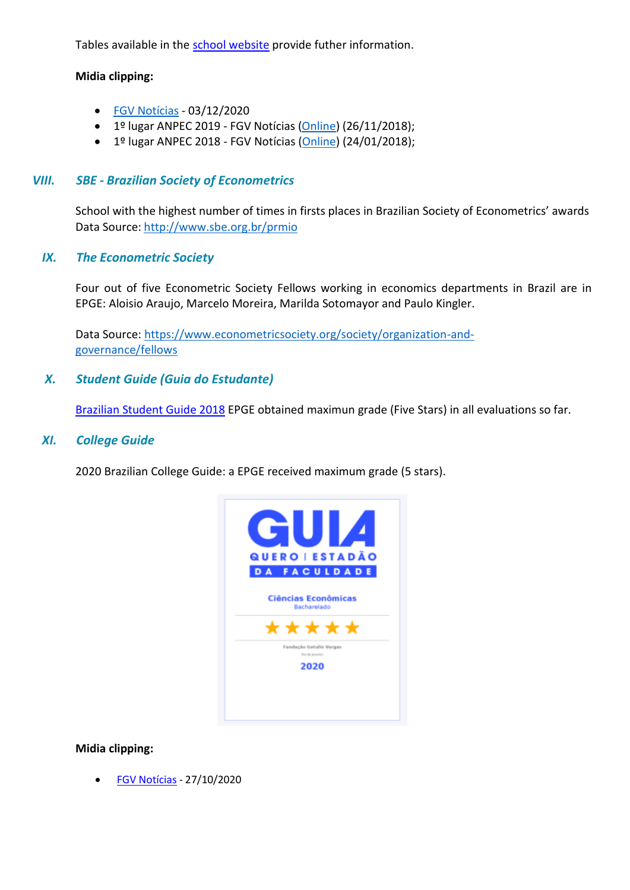Tables available in the [school website](https://epge.fgv.br/en/news/epge-obtains-for-the-3rd-time-in-the-last-4-evaluations-the-1st-national-place-of-anpec-among) provide futher information.

#### **Midia clipping:**

- FGV [Notícias](https://portal.fgv.br/noticias/graduacao-fgv-epge-ocupa-primeiros-lugares-exame-nacional-anpec) 03/12/2020
- $\bullet$  1º lugar ANPEC 2019 FGV Notícias [\(Online\)](https://portal.fgv.br/noticias/fgv-epge-fica-1o-lugar-exame-anpec-pelo-2o-ano-consecutivo) (26/11/2018);
- $\bullet$  1º lugar ANPEC 2018 FGV Notícias [\(Online\)](https://portal.fgv.br/noticias/primeiro-lugar-anpec-aluno-destaca-excelencia-academica-fgv-epge) (24/01/2018);

#### *VIII. SBE - Brazilian Society of Econometrics*

School with the highest number of times in firsts places in Brazilian Society of Econometrics' awards Data Source: [http://www.sbe.org.br/prmio](https://www.sbe.org.br/prmio)

#### *IX. The Econometric Society*

Four out of five Econometric Society Fellows working in economics departments in Brazil are in EPGE: Aloisio Araujo, Marcelo Moreira, Marilda Sotomayor and Paulo Kingler.

Data Source: [https://www.econometricsociety.org/society/organization-and](https://www.econometricsociety.org/society/organization-and-governance/fellows)[governance/fellows](https://www.econometricsociety.org/society/organization-and-governance/fellows)

## *X. Student Guide (Guia do Estudante)*

[Brazilian Student Guide 2018](https://epge.fgv.br/en/news/fgv-schools-receive-maximum-notice-of-the-2018-student-guide-fgv-news-12-5-2018) EPGE obtained maximun grade (Five Stars) in all evaluations so far.

#### *XI. College Guide*

2020 Brazilian College Guide: a EPGE received maximum grade (5 stars).



#### **Midia clipping:**

• FGV [Notícias](https://portal.fgv.br/noticias/cursos-graduacao-fgv-estao-entre-melhores-pais-revela-ranking-quero-educacaoestadao) - 27/10/2020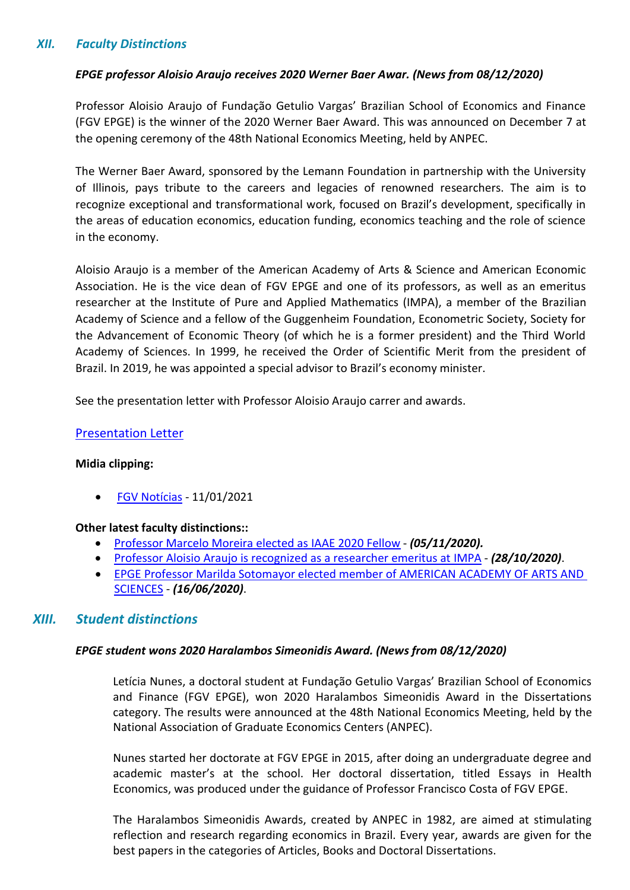## <span id="page-7-0"></span>*XII. Faculty Distinctions*

#### *EPGE professor Aloisio Araujo receives 2020 Werner Baer Awar. (News from 08/12/2020)*

Professor Aloisio Araujo of Fundação Getulio Vargas' Brazilian School of Economics and Finance (FGV EPGE) is the winner of the 2020 Werner Baer Award. This was announced on December 7 at the opening ceremony of the 48th National Economics Meeting, held by ANPEC.

The Werner Baer Award, sponsored by the Lemann Foundation in partnership with the University of Illinois, pays tribute to the careers and legacies of renowned researchers. The aim is to recognize exceptional and transformational work, focused on Brazil's development, specifically in the areas of education economics, education funding, economics teaching and the role of science in the economy.

Aloisio Araujo is a member of the American Academy of Arts & Science and American Economic Association. He is the vice dean of FGV EPGE and one of its professors, as well as an emeritus researcher at the Institute of Pure and Applied Mathematics (IMPA), a member of the Brazilian Academy of Science and a fellow of the Guggenheim Foundation, Econometric Society, Society for the Advancement of Economic Theory (of which he is a former president) and the Third World Academy of Sciences. In 1999, he received the Order of Scientific Merit from the president of Brazil. In 2019, he was appointed a special advisor to Brazil's economy minister.

See the presentation letter with Professor Aloisio Araujo carrer and awards.

#### [Presentation Letter](https://epge.fgv.br/files/default/carta-de-apresentacao-professor-aloisio-araujo.pdf)

#### **Midia clipping:**

• [FGV Notícias](https://portal.fgv.br/noticias/professor-fgv-epge-recebe-premio-werner-baer-sua-contribuicao-ao-desenvolvimento-brasil-0) - 11/01/2021

#### **Other latest faculty distinctions::**

- [Professor Marcelo Moreira elected as](https://epge.fgv.br/en/news/professor-marcelo-moreira-foi-eleito-iaae-2020-fellow) IAAE 2020 Fellow *(05/11/2020).*
- [Professor Aloisio Araujo is recognized as a researcher emeritus at](https://epge.fgv.br/en/news/professor-aloisio-araujo-is-recognized-as-a-researcher-emeritus-at-impa) IMPA *(28/10/2020)*.
- [EPGE Professor Marilda Sotomayor elected member of AMERICAN ACADEMY OF ARTS AND](https://epge.fgv.br/en/news/epge-professor-marilda-sotomayor-elected-member-of-american-academy-of-arts-and-sciences)  [SCIENCES](https://epge.fgv.br/en/news/epge-professor-marilda-sotomayor-elected-member-of-american-academy-of-arts-and-sciences) - *(16/06/2020)*.

## <span id="page-7-1"></span>*XIII. Student distinctions*

#### *EPGE student wons 2020 Haralambos Simeonidis Award. (News from 08/12/2020)*

Letícia Nunes, a doctoral student at Fundação Getulio Vargas' Brazilian School of Economics and Finance (FGV EPGE), won 2020 Haralambos Simeonidis Award in the Dissertations category. The results were announced at the 48th National Economics Meeting, held by the National Association of Graduate Economics Centers (ANPEC).

Nunes started her doctorate at FGV EPGE in 2015, after doing an undergraduate degree and academic master's at the school. Her doctoral dissertation, titled Essays in Health Economics, was produced under the guidance of Professor Francisco Costa of FGV EPGE.

The Haralambos Simeonidis Awards, created by ANPEC in 1982, are aimed at stimulating reflection and research regarding economics in Brazil. Every year, awards are given for the best papers in the categories of Articles, Books and Doctoral Dissertations.